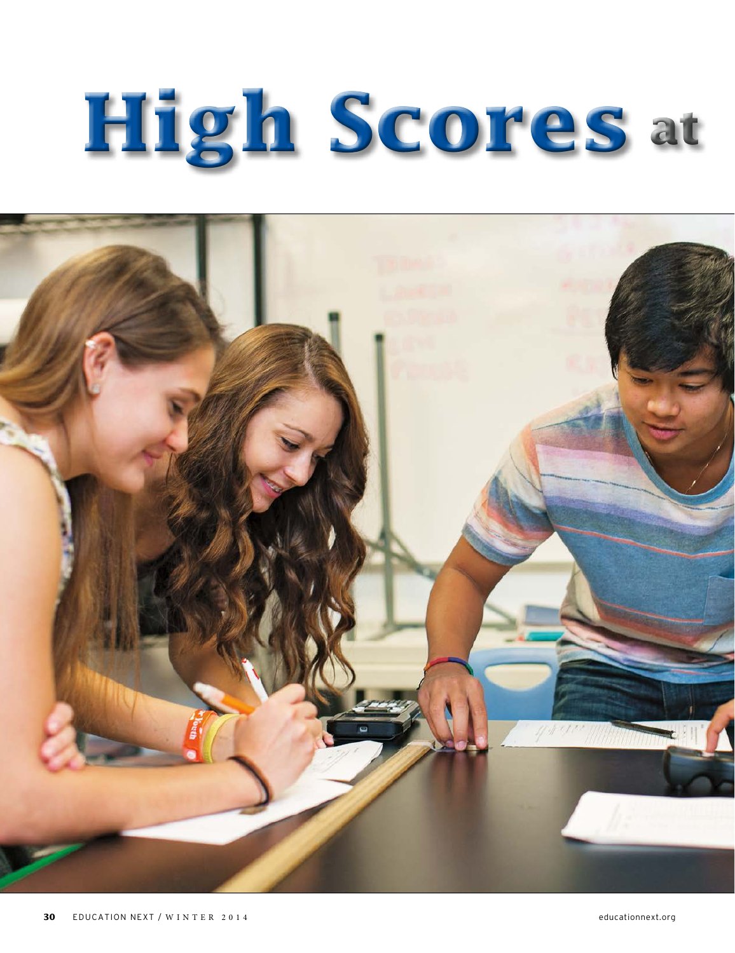# **High Scores at**

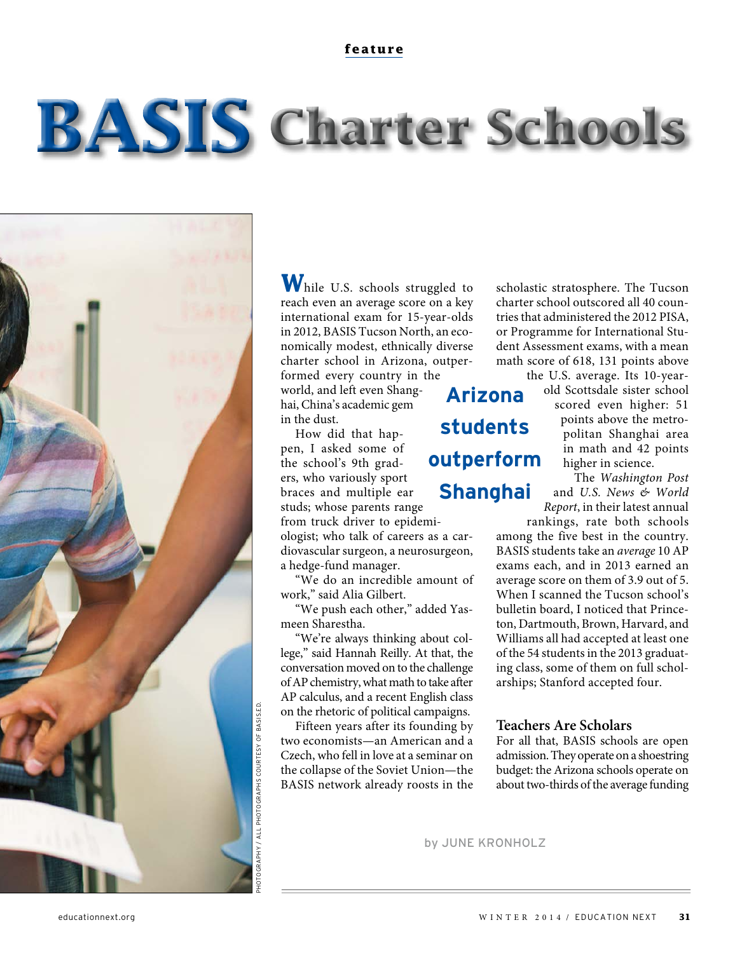# **BASIS** Charter Schools



While U.S. schools struggled to reach even an average score on a key international exam for 15-year-olds in 2012, BASIS Tucson North, an economically modest, ethnically diverse charter school in Arizona, outperformed every country in the

world, and left even Shanghai, China's academic gem in the dust.

How did that happen, I asked some of the school's 9th graders, who variously sport braces and multiple ear studs; whose parents range from truck driver to epidemi-

ologist; who talk of careers as a cardiovascular surgeon, a neurosurgeon, a hedge-fund manager.

"We do an incredible amount of work," said Alia Gilbert.

"We push each other," added Yasmeen Sharestha.

"We're always thinking about college," said Hannah Reilly. At that, the conversation moved on to the challenge of AP chemistry, what math to take after AP calculus, and a recent English class on the rhetoric of political campaigns.

Fifteen years after its founding by two economists—an American and a Czech, who fell in love at a seminar on the collapse of the Soviet Union—the BASIS network already roosts in the

**Arizona students outperform Shanghai**

scholastic stratosphere. The Tucson charter school outscored all 40 countries that administered the 2012 PISA, or Programme for International Student Assessment exams, with a mean math score of 618, 131 points above the U.S. average. Its 10-year-

> old Scottsdale sister school scored even higher: 51 points above the metropolitan Shanghai area in math and 42 points higher in science.

> The Washington Post and U.S. News & World Report, in their latest annual

rankings, rate both schools among the five best in the country. BASIS students take an average 10 AP exams each, and in 2013 earned an average score on them of 3.9 out of 5. When I scanned the Tucson school's bulletin board, I noticed that Princeton, Dartmouth, Brown, Harvard, and Williams all had accepted at least one of the 54 students in the 2013 graduating class, some of them on full scholarships; Stanford accepted four.

## **Teachers Are Scholars**

For all that, BASIS schools are open admission. They operate on a shoestring budget: the Arizona schools operate on about two-thirds of the average funding

by JUNE KRONHOLZ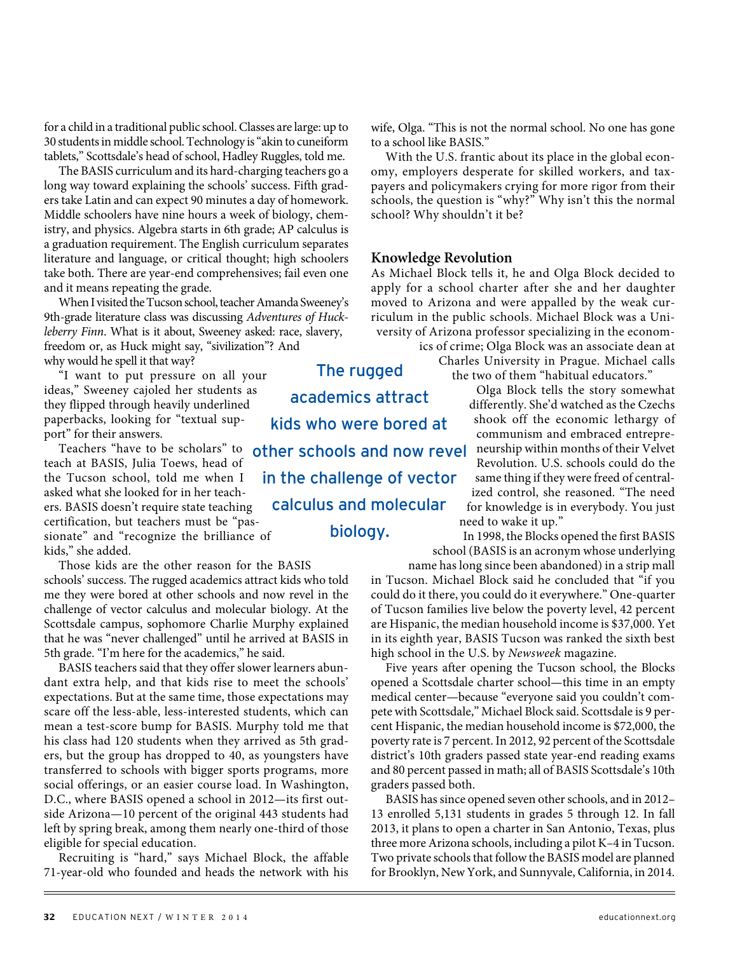for a child in a traditional public school. Classes are large: up to 30 students in middle school. Technology is "akin to cuneiform tablets," Scottsdale's head of school, Hadley Ruggles, told me.

The BASIS curriculum and its hard-charging teachers go a long way toward explaining the schools' success. Fifth graders take Latin and can expect 90 minutes a day of homework. Middle schoolers have nine hours a week of biology, chemistry, and physics. Algebra starts in 6th grade; AP calculus is a graduation requirement. The English curriculum separates literature and language, or critical thought; high schoolers take both. There are year-end comprehensives; fail even one and it means repeating the grade.

When I visited the Tucson school, teacher Amanda Sweeney's 9th-grade literature class was discussing Adventures of Huckleberry Finn. What is it about, Sweeney asked: race, slavery, freedom or, as Huck might say, "sivilization"? And why would he spell it that way?

"I want to put pressure on all your ideas," Sweeney cajoled her students as they flipped through heavily underlined paperbacks, looking for "textual support" for their answers.

Teachers "have to be scholars" to teach at BASIS, Julia Toews, head of the Tucson school, told me when I asked what she looked for in her teachers. BASIS doesn't require state teaching certification, but teachers must be "passionate" and "recognize the brilliance of kids," she added.

Those kids are the other reason for the BASIS schools' success. The rugged academics attract kids who told me they were bored at other schools and now revel in the challenge of vector calculus and molecular biology. At the Scottsdale campus, sophomore Charlie Murphy explained that he was "never challenged" until he arrived at BASIS in 5th grade. "I'm here for the academics," he said.

BASIS teachers said that they offer slower learners abundant extra help, and that kids rise to meet the schools' expectations. But at the same time, those expectations may scare off the less-able, less-interested students, which can mean a test-score bump for BASIS. Murphy told me that his class had 120 students when they arrived as 5th graders, but the group has dropped to 40, as youngsters have transferred to schools with bigger sports programs, more social offerings, or an easier course load. In Washington, D.C., where BASIS opened a school in 2012—its first outside Arizona—10 percent of the original 443 students had left by spring break, among them nearly one-third of those eligible for special education.

Recruiting is "hard," says Michael Block, the affable 71-year-old who founded and heads the network with his wife, Olga. "This is not the normal school. No one has gone to a school like BASIS."

With the U.S. frantic about its place in the global economy, employers desperate for skilled workers, and taxpayers and policymakers crying for more rigor from their schools, the question is "why?" Why isn't this the normal school? Why shouldn't it be?

#### **Knowledge Revolution**

As Michael Block tells it, he and Olga Block decided to apply for a school charter after she and her daughter moved to Arizona and were appalled by the weak curriculum in the public schools. Michael Block was a University of Arizona professor specializing in the econom-

> ics of crime; Olga Block was an associate dean at Charles University in Prague. Michael calls the two of them "habitual educators."

> > Olga Block tells the story somewhat differently. She'd watched as the Czechs shook off the economic lethargy of communism and embraced entrepreneurship within months of their Velvet Revolution. U.S. schools could do the same thing if they were freed of centralized control, she reasoned. "The need for knowledge is in everybody. You just need to wake it up."

In 1998, the Blocks opened the first BASIS school (BASIS is an acronym whose underlying

name has long since been abandoned) in a strip mall in Tucson. Michael Block said he concluded that "if you could do it there, you could do it everywhere." One-quarter of Tucson families live below the poverty level, 42 percent are Hispanic, the median household income is \$37,000. Yet in its eighth year, BASIS Tucson was ranked the sixth best high school in the U.S. by Newsweek magazine.

Five years after opening the Tucson school, the Blocks opened a Scottsdale charter school—this time in an empty medical center—because "everyone said you couldn't compete with Scottsdale," Michael Block said. Scottsdale is 9 percent Hispanic, the median household income is \$72,000, the poverty rate is 7 percent. In 2012, 92 percent of the Scottsdale district's 10th graders passed state year-end reading exams and 80 percent passed in math; all of BASIS Scottsdale's 10th graders passed both.

BASIS has since opened seven other schools, and in 2012– 13 enrolled 5,131 students in grades 5 through 12. In fall 2013, it plans to open a charter in San Antonio, Texas, plus three more Arizona schools, including a pilot K–4 in Tucson. Two private schools that follow the BASIS model are planned for Brooklyn, New York, and Sunnyvale, California, in 2014.

The rugged academics attract kids who were bored at other schools and now revel in the challenge of vector calculus and molecular biology.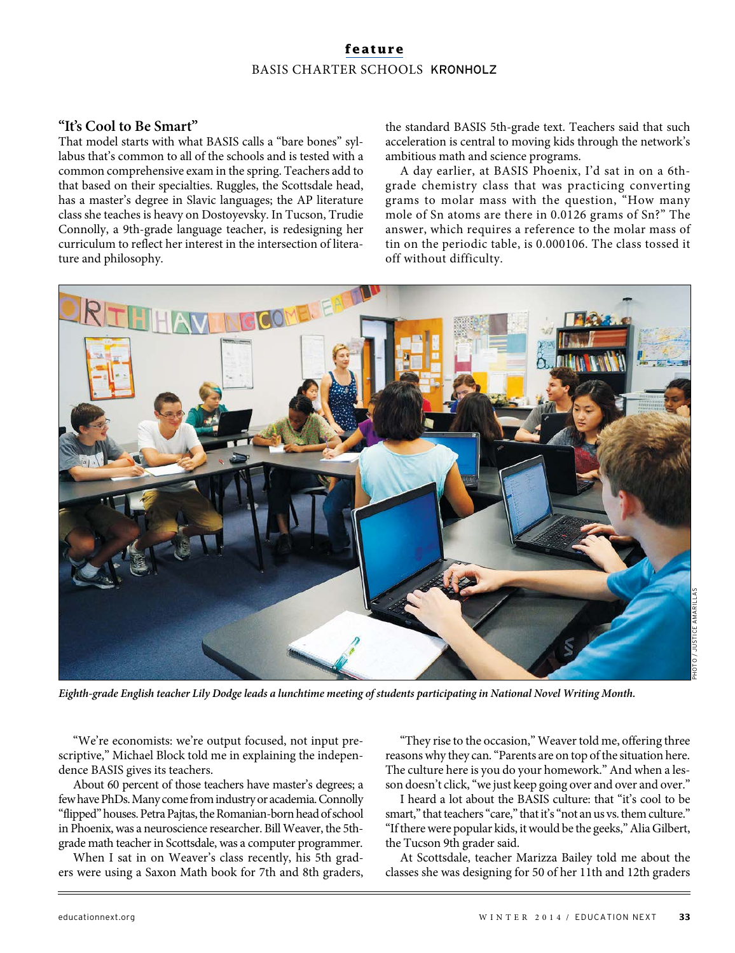# **feature** BASIS CHARTER SCHOOLS KRONHOLZ

# **"It's Cool to Be Smart"**

That model starts with what BASIS calls a "bare bones" syllabus that's common to all of the schools and is tested with a common comprehensive exam in the spring. Teachers add to that based on their specialties. Ruggles, the Scottsdale head, has a master's degree in Slavic languages; the AP literature class she teaches is heavy on Dostoyevsky. In Tucson, Trudie Connolly, a 9th-grade language teacher, is redesigning her curriculum to reflect her interest in the intersection of literature and philosophy.

the standard BASIS 5th-grade text. Teachers said that such acceleration is central to moving kids through the network's ambitious math and science programs.

A day earlier, at BASIS Phoenix, I'd sat in on a 6thgrade chemistry class that was practicing converting grams to molar mass with the question, "How many mole of Sn atoms are there in 0.0126 grams of Sn?" The answer, which requires a reference to the molar mass of tin on the periodic table, is 0.000106. The class tossed it off without difficulty.



**Eighth-grade English teacher Lily Dodge leads a lunchtime meeting of students participating in National Novel Writing Month.**

"We're economists: we're output focused, not input prescriptive," Michael Block told me in explaining the independence BASIS gives its teachers.

About 60 percent of those teachers have master's degrees; a few have PhDs. Many come from industry or academia. Connolly "flipped" houses. Petra Pajtas, the Romanian-born head of school in Phoenix, was a neuroscience researcher. Bill Weaver, the 5thgrade math teacher in Scottsdale, was a computer programmer.

When I sat in on Weaver's class recently, his 5th graders were using a Saxon Math book for 7th and 8th graders,

"They rise to the occasion," Weaver told me, offering three reasons why they can. "Parents are on top of the situation here. The culture here is you do your homework." And when a lesson doesn't click, "we just keep going over and over and over."

I heard a lot about the BASIS culture: that "it's cool to be smart," that teachers "care," that it's "not an us vs. them culture." "If there were popular kids, it would be the geeks," Alia Gilbert, the Tucson 9th grader said.

At Scottsdale, teacher Marizza Bailey told me about the classes she was designing for 50 of her 11th and 12th graders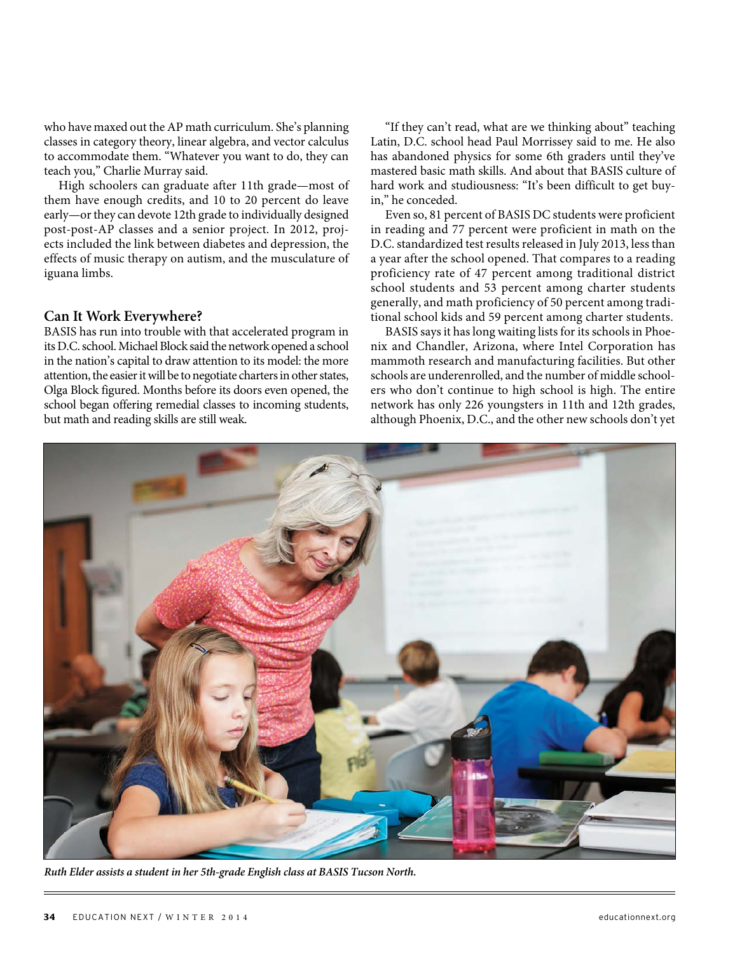who have maxed out the AP math curriculum. She's planning classes in category theory, linear algebra, and vector calculus to accommodate them. "Whatever you want to do, they can teach you," Charlie Murray said.

High schoolers can graduate after 11th grade—most of them have enough credits, and 10 to 20 percent do leave early—or they can devote 12th grade to individually designed post-post-AP classes and a senior project. In 2012, projects included the link between diabetes and depression, the effects of music therapy on autism, and the musculature of iguana limbs.

#### **Can It Work Everywhere?**

BASIS has run into trouble with that accelerated program in its D.C. school. Michael Block said the network opened a school in the nation's capital to draw attention to its model: the more attention, the easier it will be to negotiate charters in other states, Olga Block figured. Months before its doors even opened, the school began offering remedial classes to incoming students, but math and reading skills are still weak.

"If they can't read, what are we thinking about" teaching Latin, D.C. school head Paul Morrissey said to me. He also has abandoned physics for some 6th graders until they've mastered basic math skills. And about that BASIS culture of hard work and studiousness: "It's been difficult to get buyin," he conceded.

Even so, 81 percent of BASIS DC students were proficient in reading and 77 percent were proficient in math on the D.C. standardized test results released in July 2013, less than a year after the school opened. That compares to a reading proficiency rate of 47 percent among traditional district school students and 53 percent among charter students generally, and math proficiency of 50 percent among traditional school kids and 59 percent among charter students.

BASIS says it has long waiting lists for its schools in Phoenix and Chandler, Arizona, where Intel Corporation has mammoth research and manufacturing facilities. But other schools are underenrolled, and the number of middle schoolers who don't continue to high school is high. The entire network has only 226 youngsters in 11th and 12th grades, although Phoenix, D.C., and the other new schools don't yet



**Ruth Elder assists a student in her 5th-grade English class at BASIS Tucson North.**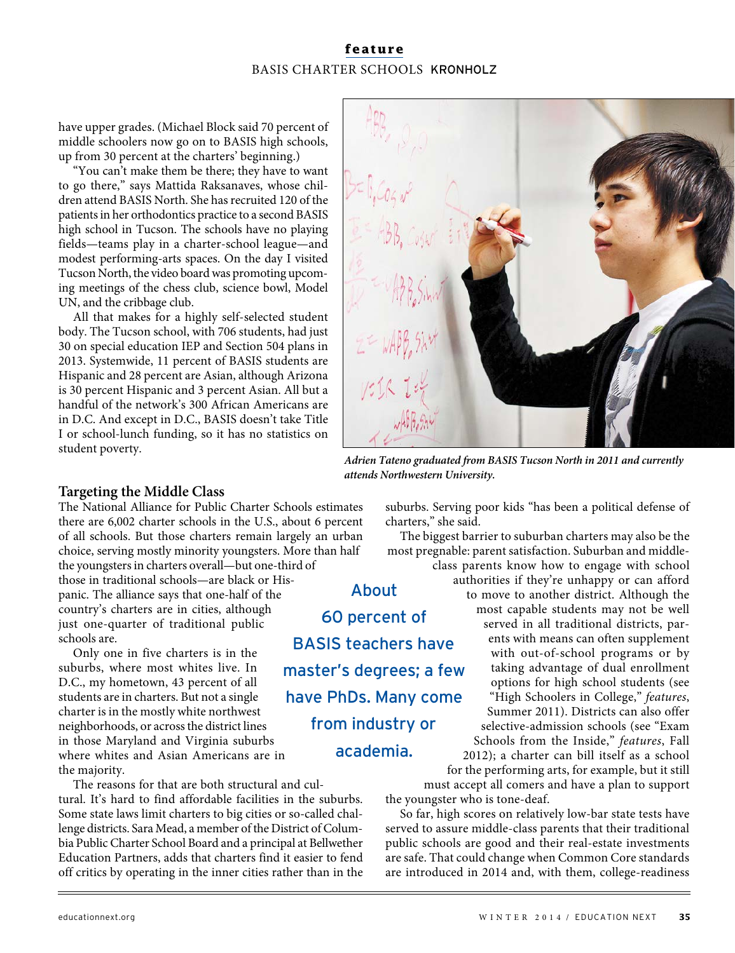# **feature** BASIS CHARTER SCHOOLS KRONHOLZ

have upper grades. (Michael Block said 70 percent of middle schoolers now go on to BASIS high schools, up from 30 percent at the charters' beginning.)

"You can't make them be there; they have to want to go there," says Mattida Raksanaves, whose children attend BASIS North. She has recruited 120 of the patients in her orthodontics practice to a second BASIS high school in Tucson. The schools have no playing fields—teams play in a charter-school league—and modest performing-arts spaces. On the day I visited Tucson North, the video board was promoting upcoming meetings of the chess club, science bowl, Model UN, and the cribbage club.

All that makes for a highly self-selected student body. The Tucson school, with 706 students, had just 30 on special education IEP and Section 504 plans in 2013. Systemwide, 11 percent of BASIS students are Hispanic and 28 percent are Asian, although Arizona is 30 percent Hispanic and 3 percent Asian. All but a handful of the network's 300 African Americans are in D.C. And except in D.C., BASIS doesn't take Title I or school-lunch funding, so it has no statistics on student poverty.



**Adrien Tateno graduated from BASIS Tucson North in 2011 and currently attends Northwestern University.**

## **Targeting the Middle Class**

The National Alliance for Public Charter Schools estimates there are 6,002 charter schools in the U.S., about 6 percent of all schools. But those charters remain largely an urban choice, serving mostly minority youngsters. More than half the youngsters in charters overall—but one-third of

those in traditional schools—are black or Hispanic. The alliance says that one-half of the country's charters are in cities, although just one-quarter of traditional public schools are.

Only one in five charters is in the suburbs, where most whites live. In D.C., my hometown, 43 percent of all students are in charters. But not a single charter is in the mostly white northwest neighborhoods, or across the district lines in those Maryland and Virginia suburbs where whites and Asian Americans are in the majority.

The reasons for that are both structural and cultural. It's hard to find affordable facilities in the suburbs. Some state laws limit charters to big cities or so-called challenge districts. Sara Mead, a member of the District of Columbia Public Charter School Board and a principal at Bellwether Education Partners, adds that charters find it easier to fend off critics by operating in the inner cities rather than in the suburbs. Serving poor kids "has been a political defense of charters," she said.

The biggest barrier to suburban charters may also be the most pregnable: parent satisfaction. Suburban and middleclass parents know how to engage with school

About 60 percent of BASIS teachers have master's degrees; a few have PhDs. Many come from industry or academia.

authorities if they're unhappy or can afford to move to another district. Although the most capable students may not be well served in all traditional districts, parents with means can often supplement with out-of-school programs or by taking advantage of dual enrollment options for high school students (see "High Schoolers in College," features, Summer 2011). Districts can also offer selective-admission schools (see "Exam Schools from the Inside," features, Fall

2012); a charter can bill itself as a school for the performing arts, for example, but it still must accept all comers and have a plan to support

the youngster who is tone-deaf.

So far, high scores on relatively low-bar state tests have served to assure middle-class parents that their traditional public schools are good and their real-estate investments are safe. That could change when Common Core standards are introduced in 2014 and, with them, college-readiness